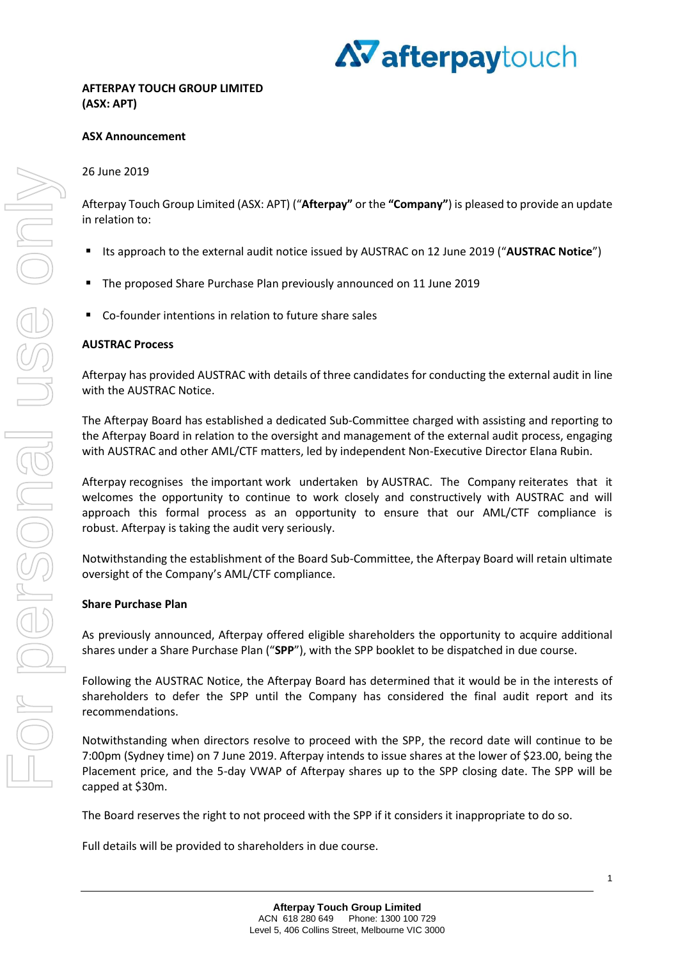

# **ASX Announcement**

## 26 June 2019

Afterpay Touch Group Limited (ASX: APT) ("**Afterpay"** or the **"Company"**) is pleased to provide an update in relation to:

- Its approach to the external audit notice issued by AUSTRAC on 12 June 2019 ("**AUSTRAC Notice**")
- The proposed Share Purchase Plan previously announced on 11 June 2019
- Co-founder intentions in relation to future share sales

#### **AUSTRAC Process**

Afterpay has provided AUSTRAC with details of three candidates for conducting the external audit in line with the AUSTRAC Notice.

The Afterpay Board has established a dedicated Sub-Committee charged with assisting and reporting to the Afterpay Board in relation to the oversight and management of the external audit process, engaging with AUSTRAC and other AML/CTF matters, led by independent Non-Executive Director Elana Rubin.

Afterpay recognises the important work undertaken by AUSTRAC. The Company reiterates that it welcomes the opportunity to continue to work closely and constructively with AUSTRAC and will approach this formal process as an opportunity to ensure that our AML/CTF compliance is robust. Afterpay is taking the audit very seriously.

Notwithstanding the establishment of the Board Sub-Committee, the Afterpay Board will retain ultimate oversight of the Company's AML/CTF compliance.

## **Share Purchase Plan**

As previously announced, Afterpay offered eligible shareholders the opportunity to acquire additional shares under a Share Purchase Plan ("**SPP**"), with the SPP booklet to be dispatched in due course.

Following the AUSTRAC Notice, the Afterpay Board has determined that it would be in the interests of shareholders to defer the SPP until the Company has considered the final audit report and its recommendations.

Notwithstanding when directors resolve to proceed with the SPP, the record date will continue to be 7:00pm (Sydney time) on 7 June 2019. Afterpay intends to issue shares at the lower of \$23.00, being the Placement price, and the 5-day VWAP of Afterpay shares up to the SPP closing date. The SPP will be capped at \$30m.

The Board reserves the right to not proceed with the SPP if it considers it inappropriate to do so.

Full details will be provided to shareholders in due course.